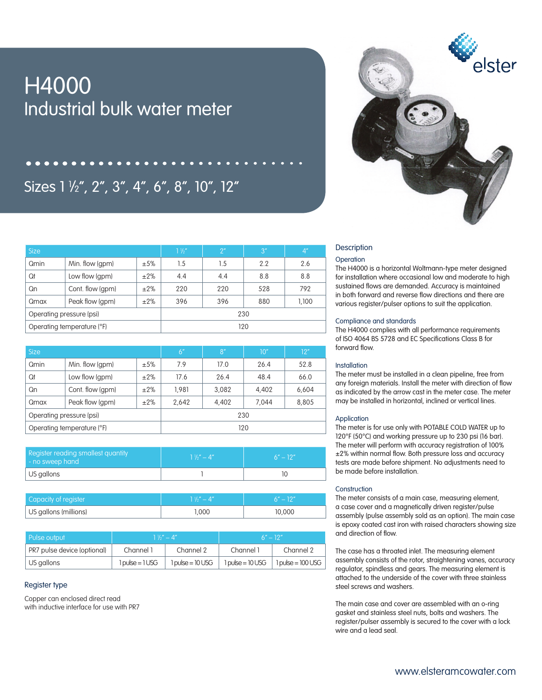# H4000 Industrial bulk water meter

## Sizes 1 1 ⁄2", 2", 3", 4", 6", 8", 10", 12"



| <b>Size</b>                |                             |           | $1\frac{1}{2}$ | 2 <sup>''</sup> | 3'' | /4"   |  |
|----------------------------|-----------------------------|-----------|----------------|-----------------|-----|-------|--|
| Qmin                       | Min. flow (gpm)<br>±5%      |           | 1.5            | 1.5             | 2.2 | 2.6   |  |
| Qt                         | Low flow (gpm)<br>$\pm 2\%$ |           | 4.4            | 4.4             | 8.8 | 8.8   |  |
| Qn                         | Cont. flow (gpm)            | $\pm 2\%$ | 220            | 220             | 528 | 792   |  |
| Qmax                       | Peak flow (gpm)<br>±2%      |           | 396            | 396             | 880 | 1,100 |  |
| Operating pressure (psi)   |                             |           | 230            |                 |     |       |  |
| Operating temperature (°F) |                             |           | 120            |                 |     |       |  |

| <b>Size</b>                |                             |     | 6 <sup>n</sup> | 8 <sup>n</sup> | 10"   | 12"   |  |
|----------------------------|-----------------------------|-----|----------------|----------------|-------|-------|--|
| Qmin                       | Min. flow (gpm)<br>±5%      |     | 7.9            | 17.0           | 26.4  | 52.8  |  |
| Qt                         | Low flow (gpm)<br>$\pm 2\%$ |     | 17.6           | 26.4           | 48.4  | 66.0  |  |
| Qn                         | Cont. flow (gpm)            | ±2% | 1.981          | 3.082          | 4.402 | 6,604 |  |
| Peak flow (gpm)<br>Qmax    |                             | ±2% | 2.642          | 4.402          | 7.044 | 8,805 |  |
| Operating pressure (psi)   |                             |     | 230            |                |       |       |  |
| Operating temperature (°F) |                             |     | 120            |                |       |       |  |

| Register reading smallest quantity<br>- no sweep hand | $1\frac{1}{2}$ – 4" | $6'' - 12''$ |  |  |
|-------------------------------------------------------|---------------------|--------------|--|--|
| $\vert$ US gallons                                    |                     |              |  |  |

| Capacity of register  | $1\frac{1}{2}$ – 4" | $6'' - 12''$ |
|-----------------------|---------------------|--------------|
| US gallons (millions) | 1.000               | 10,000       |

| Pulse output                        |                                  | $1\frac{1}{2}$ – 4"                | $6'' - 12''$                       |                       |  |
|-------------------------------------|----------------------------------|------------------------------------|------------------------------------|-----------------------|--|
| PR7 pulse device (optional)         | Channel 1                        | Channel 2                          | Channel 1                          | Channel 2             |  |
| $\overline{\phantom{a}}$ US gallons | $1 \text{ pulse} = 1 \text{USG}$ | $1 \text{ pulse} = 10 \text{ USG}$ | $1 \text{ pulse} = 10 \text{ USG}$ | $1$ pulse = $100$ USG |  |

#### Register type

Copper can enclosed direct read with inductive interface for use with PR7

### **Description**

#### **Operation**

The H4000 is a horizontal Woltmann-type meter designed for installation where occasional low and moderate to high sustained flows are demanded. Accuracy is maintained in both forward and reverse flow directions and there are various register/pulser options to suit the application.

#### Compliance and standards

The H4000 complies with all performance requirements of ISO 4064 BS 5728 and EC Specifications Class B for forward flow.

#### Installation

The meter must be installed in a clean pipeline, free from any foreign materials. Install the meter with direction of flow as indicated by the arrow cast in the meter case. The meter may be installed in horizontal, inclined or vertical lines.

#### Application

The meter is for use only with POTABLE COLD WATER up to 120°F (50°C) and working pressure up to 230 psi (16 bar). The meter will perform with accuracy registration of 100% ±2% within normal flow. Both pressure loss and accuracy tests are made before shipment. No adjustments need to be made before installation.

#### **Construction**

The meter consists of a main case, measuring element, a case cover and a magnetically driven register/pulse assembly (pulse assembly sold as an option). The main case is epoxy coated cast iron with raised characters showing size and direction of flow.

The case has a throated inlet. The measuring element assembly consists of the rotor, straightening vanes, accuracy regulator, spindless and gears. The measuring element is attached to the underside of the cover with three stainless steel screws and washers.

The main case and cover are assembled with an o-ring gasket and stainless steel nuts, bolts and washers. The register/pulser assembly is secured to the cover with a lock wire and a lead seal.